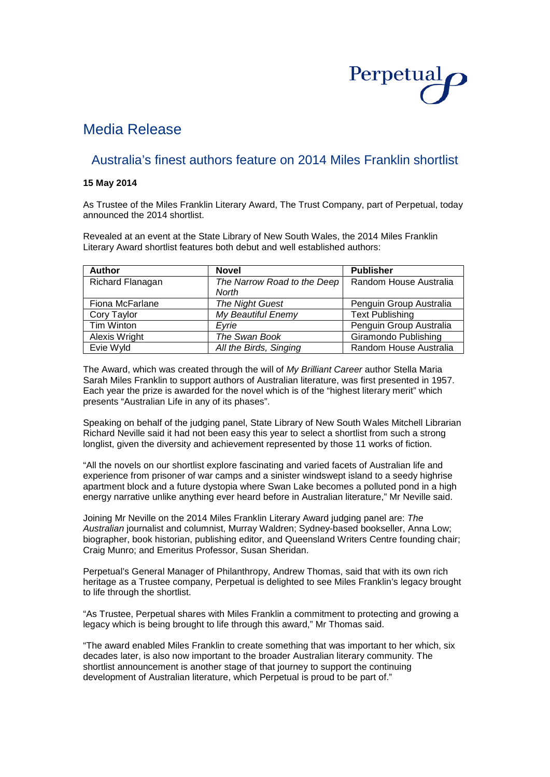

# Media Release

## Australia's finest authors feature on 2014 Miles Franklin shortlist

### **15 May 2014**

As Trustee of the Miles Franklin Literary Award, The Trust Company, part of Perpetual, today announced the 2014 shortlist.

Revealed at an event at the State Library of New South Wales, the 2014 Miles Franklin Literary Award shortlist features both debut and well established authors:

| <b>Author</b>        | <b>Novel</b>                | <b>Publisher</b>        |
|----------------------|-----------------------------|-------------------------|
| Richard Flanagan     | The Narrow Road to the Deep | Random House Australia  |
|                      | North                       |                         |
| Fiona McFarlane      | <b>The Night Guest</b>      | Penguin Group Australia |
| Cory Taylor          | My Beautiful Enemy          | <b>Text Publishing</b>  |
| Tim Winton           | Evrie                       | Penguin Group Australia |
| <b>Alexis Wright</b> | The Swan Book               | Giramondo Publishing    |
| Evie Wyld            | All the Birds, Singing      | Random House Australia  |

The Award, which was created through the will of *My Brilliant Career* author Stella Maria Sarah Miles Franklin to support authors of Australian literature, was first presented in 1957. Each year the prize is awarded for the novel which is of the "highest literary merit" which presents "Australian Life in any of its phases".

Speaking on behalf of the judging panel, State Library of New South Wales Mitchell Librarian Richard Neville said it had not been easy this year to select a shortlist from such a strong longlist, given the diversity and achievement represented by those 11 works of fiction.

"All the novels on our shortlist explore fascinating and varied facets of Australian life and experience from prisoner of war camps and a sinister windswept island to a seedy highrise apartment block and a future dystopia where Swan Lake becomes a polluted pond in a high energy narrative unlike anything ever heard before in Australian literature," Mr Neville said.

Joining Mr Neville on the 2014 Miles Franklin Literary Award judging panel are: *The Australian* journalist and columnist, Murray Waldren; Sydney-based bookseller, Anna Low; biographer, book historian, publishing editor, and Queensland Writers Centre founding chair; Craig Munro; and Emeritus Professor, Susan Sheridan.

Perpetual's General Manager of Philanthropy, Andrew Thomas, said that with its own rich heritage as a Trustee company, Perpetual is delighted to see Miles Franklin's legacy brought to life through the shortlist.

"As Trustee, Perpetual shares with Miles Franklin a commitment to protecting and growing a legacy which is being brought to life through this award," Mr Thomas said.

"The award enabled Miles Franklin to create something that was important to her which, six decades later, is also now important to the broader Australian literary community. The shortlist announcement is another stage of that journey to support the continuing development of Australian literature, which Perpetual is proud to be part of."